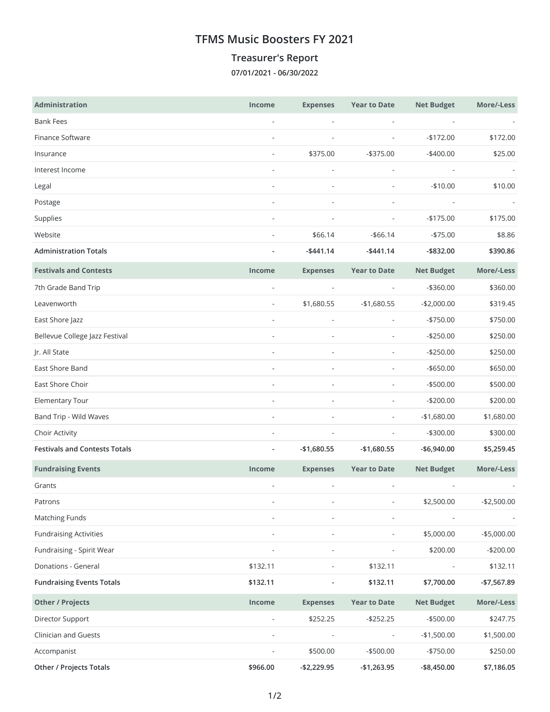## **TFMS Music Boosters FY 2021**

## **Treasurer's Report**

**07/01/2021 - 06/30/2022**

| Administration                       | <b>Income</b>            | <b>Expenses</b>              | <b>Year to Date</b>          | <b>Net Budget</b>        | More/-Less   |
|--------------------------------------|--------------------------|------------------------------|------------------------------|--------------------------|--------------|
| <b>Bank Fees</b>                     | $\overline{\phantom{a}}$ |                              |                              |                          |              |
| Finance Software                     | $\overline{a}$           |                              |                              | $-$172.00$               | \$172.00     |
| Insurance                            | $\overline{\phantom{a}}$ | \$375.00                     | $-$375.00$                   | $-$400.00$               | \$25.00      |
| Interest Income                      | $\overline{\phantom{a}}$ | $\overline{\phantom{a}}$     | $\overline{\phantom{a}}$     | $\overline{\phantom{a}}$ |              |
| Legal                                | $\overline{\phantom{a}}$ |                              |                              | $-$10.00$                | \$10.00      |
| Postage                              |                          |                              |                              |                          |              |
| Supplies                             | $\overline{\phantom{a}}$ |                              |                              | $-$175.00$               | \$175.00     |
| Website                              | ٠                        | \$66.14                      | $- $66.14$                   | $-$75.00$                | \$8.86       |
| <b>Administration Totals</b>         |                          | $-$441.14$                   | $-$441.14$                   | $-$ \$832.00             | \$390.86     |
| <b>Festivals and Contests</b>        | Income                   | <b>Expenses</b>              | <b>Year to Date</b>          | <b>Net Budget</b>        | More/-Less   |
| 7th Grade Band Trip                  | $\overline{\phantom{a}}$ | $\frac{1}{2}$                |                              | $-$360.00$               | \$360.00     |
| Leavenworth                          | $\overline{\phantom{a}}$ | \$1,680.55                   | $-$1,680.55$                 | $-$2,000.00$             | \$319.45     |
| East Shore Jazz                      | $\overline{a}$           | $\overline{\phantom{a}}$     |                              | $-$750.00$               | \$750.00     |
| Bellevue College Jazz Festival       |                          |                              |                              | $-$250.00$               | \$250.00     |
| Jr. All State                        | ä,                       |                              | $\overline{\phantom{a}}$     | $-$250.00$               | \$250.00     |
| East Shore Band                      | $\overline{a}$           |                              |                              | $-$ \$650.00             | \$650.00     |
| East Shore Choir                     | $\overline{a}$           | $\overline{\phantom{a}}$     | $\overline{\phantom{a}}$     | $-$500.00$               | \$500.00     |
| Elementary Tour                      |                          |                              |                              | $-$200.00$               | \$200.00     |
| Band Trip - Wild Waves               | $\overline{\phantom{a}}$ | $\overline{\phantom{a}}$     | $\overline{\phantom{a}}$     | $-$1,680.00$             | \$1,680.00   |
| Choir Activity                       | $\overline{a}$           |                              |                              | $-$300.00$               | \$300.00     |
| <b>Festivals and Contests Totals</b> | $\overline{\phantom{a}}$ | $-$1,680.55$                 | $-$1,680.55$                 | $-$6,940.00$             | \$5,259.45   |
| <b>Fundraising Events</b>            | Income                   | <b>Expenses</b>              | <b>Year to Date</b>          | <b>Net Budget</b>        | More/-Less   |
| Grants                               |                          |                              |                              |                          |              |
| Patrons                              |                          |                              |                              | \$2,500.00               | $-$2,500.00$ |
| <b>Matching Funds</b>                |                          |                              |                              |                          |              |
| <b>Fundraising Activities</b>        |                          |                              |                              | \$5,000.00               | $-$5,000.00$ |
| Fundraising - Spirit Wear            | $\overline{a}$           | $\qquad \qquad \blacksquare$ |                              | \$200.00                 | $-$200.00$   |
| Donations - General                  | \$132.11                 |                              | \$132.11                     |                          | \$132.11     |
| <b>Fundraising Events Totals</b>     | \$132.11                 |                              | \$132.11                     | \$7,700.00               | -\$7,567.89  |
| <b>Other / Projects</b>              | Income                   | <b>Expenses</b>              | <b>Year to Date</b>          | <b>Net Budget</b>        | More/-Less   |
| Director Support                     | $\frac{1}{2}$            | \$252.25                     | $-$252.25$                   | $-$500.00$               | \$247.75     |
| Clinician and Guests                 | $\overline{\phantom{a}}$ |                              | $\qquad \qquad \blacksquare$ | $-$1,500.00$             | \$1,500.00   |
| Accompanist                          | ä,                       | \$500.00                     | $-$500.00$                   | $-$750.00$               | \$250.00     |
| <b>Other / Projects Totals</b>       | \$966.00                 | $-$2,229.95$                 | $-$1,263.95$                 | -\$8,450.00              | \$7,186.05   |